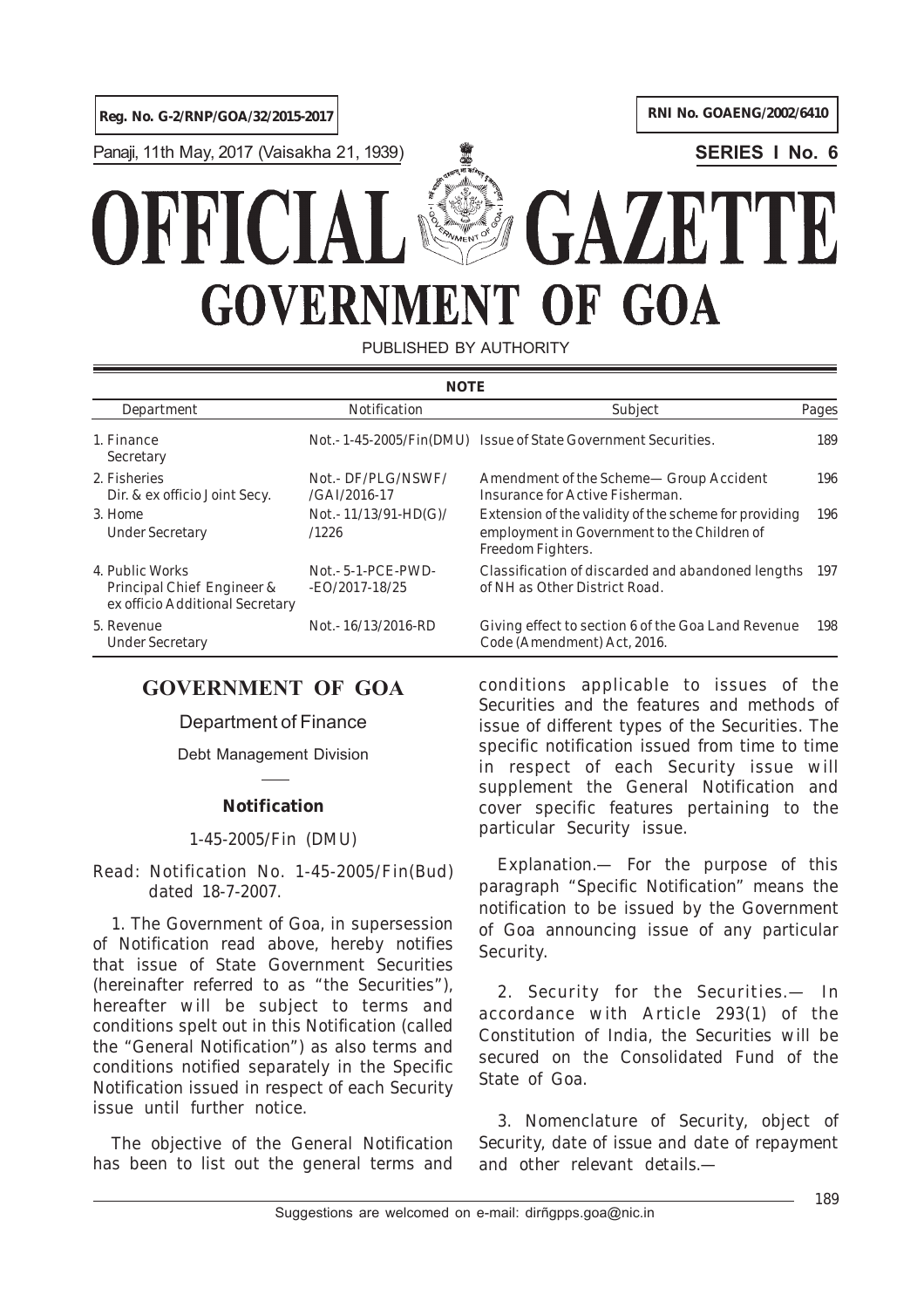Panaji, 11th May, 2017 (Vaisakha 21, 1939) **SERIES I No. 6**

# GAZETT **GOVERNMENT** OF GOA

PUBLISHED BY AUTHORITY

| <b>NOTE</b>                                                                      |                                           |                                                                                                                           |       |
|----------------------------------------------------------------------------------|-------------------------------------------|---------------------------------------------------------------------------------------------------------------------------|-------|
| Department                                                                       | <i>Notification</i>                       | Subject                                                                                                                   | Pages |
| 1. Finance<br>Secretary                                                          |                                           | Not. - 1-45-2005/Fin(DMU) Issue of State Government Securities.                                                           | 189   |
| 2. Fisheries<br>Dir. & ex officio Joint Secy.                                    | Not.- DF/PLG/NSWF/<br>$/GAI/2016-17$      | Amendment of the Scheme— Group Accident<br>Insurance for Active Fisherman.                                                | 196   |
| 3. Home<br><b>Under Secretary</b>                                                | Not.- $11/13/91$ -HD(G)/<br>/1226         | Extension of the validity of the scheme for providing<br>employment in Government to the Children of<br>Freedom Fighters. | 196   |
| 4. Public Works<br>Principal Chief Engineer &<br>ex officio Additional Secretary | $Not.- 5-1- PCE-PWD-$<br>$-EO/2017-18/25$ | Classification of discarded and abandoned lengths<br>of NH as Other District Road.                                        | 197   |
| 5. Revenue<br><b>Under Secretary</b>                                             | Not. - 16/13/2016-RD                      | Giving effect to section 6 of the Goa Land Revenue<br>Code (Amendment) Act, 2016.                                         | 198   |

# **GOVERNMENT OF GOA**

Department of Finance

Debt Management Division

# **Notification**

# 1-45-2005/Fin (DMU)

Read: Notification No. 1-45-2005/Fin(Bud) dated 18-7-2007.

1. The Government of Goa, in supersession of Notification read above, hereby notifies that issue of State Government Securities (hereinafter referred to as "the Securities"), hereafter will be subject to terms and conditions spelt out in this Notification (called the "General Notification") as also terms and conditions notified separately in the Specific Notification issued in respect of each Security issue until further notice.

The objective of the General Notification has been to list out the general terms and

conditions applicable to issues of the Securities and the features and methods of issue of different types of the Securities. The specific notification issued from time to time in respect of each Security issue will supplement the General Notification and cover specific features pertaining to the particular Security issue.

*Explanation.*— For the purpose of this paragraph "Specific Notification" means the notification to be issued by the Government of Goa announcing issue of any particular Security.

2. *Security for the Securities*.— In accordance with Article 293(*1*) of the Constitution of India, the Securities will be secured on the Consolidated Fund of the State of Goa.

3. *Nomenclature of Security, object of Security, date of issue and date of repayment and other relevant details*.—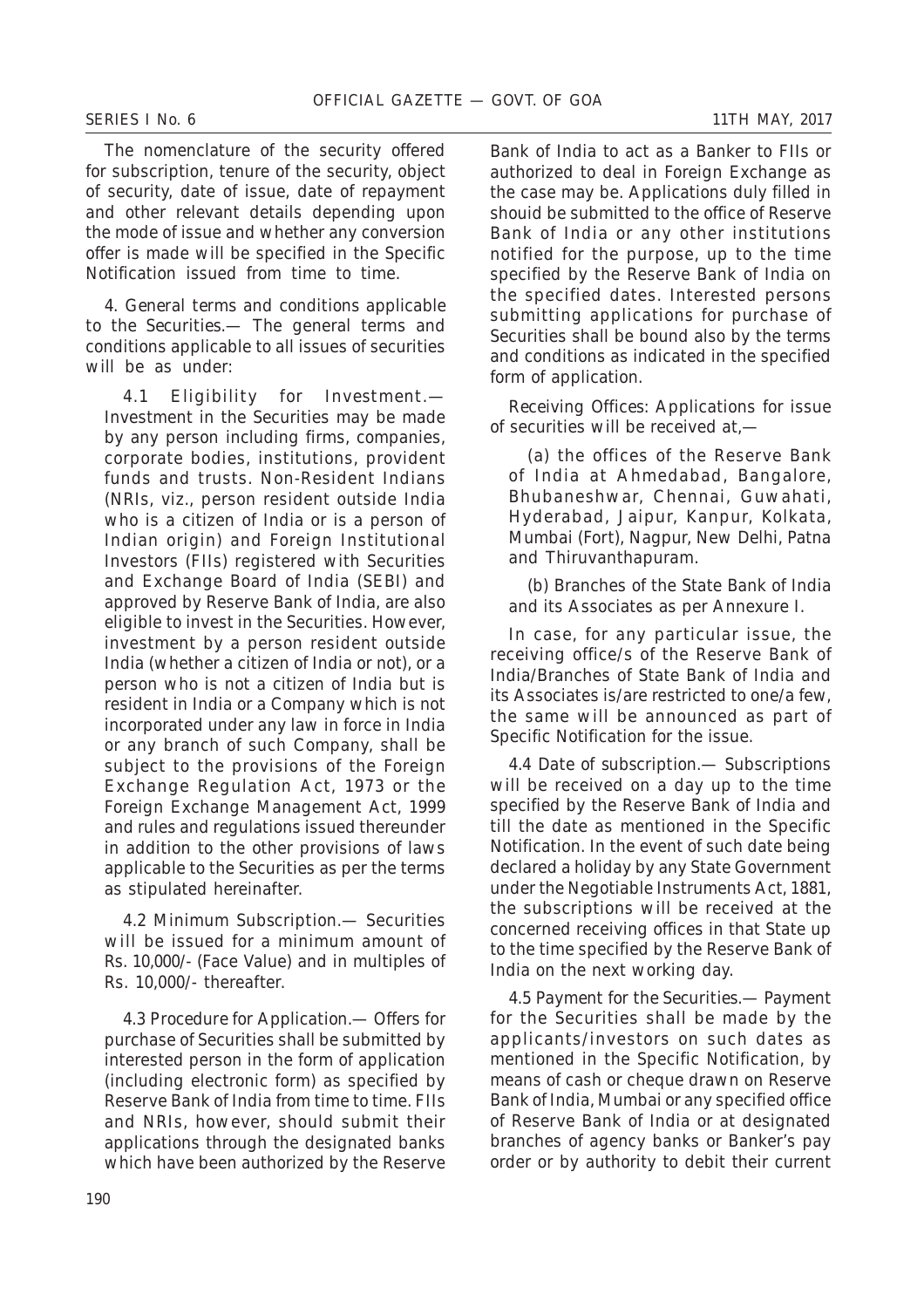The nomenclature of the security offered for subscription, tenure of the security, object of security, date of issue, date of repayment and other relevant details depending upon the mode of issue and whether any conversion offer is made will be specified in the Specific Notification issued from time to time.

4. *General terms and conditions applicable to the Securities*.— The general terms and conditions applicable to all issues of securities will be as under:

4.1 *Eligibility for Investment*.— Investment in the Securities may be made by any person including firms, companies, corporate bodies, institutions, provident funds and trusts. Non-Resident Indians (NRIs, viz., person resident outside India who is a citizen of India or is a person of Indian origin) and Foreign Institutional Investors (FIIs) registered with Securities and Exchange Board of India (SEBI) and approved by Reserve Bank of India, are also eligible to invest in the Securities. However, investment by a person resident outside India (whether a citizen of India or not), or a person who is not a citizen of India but is resident in India or a Company which is not incorporated under any law in force in India or any branch of such Company, shall be subject to the provisions of the Foreign Exchange Regulation Act, 1973 or the Foreign Exchange Management Act, 1999 and rules and regulations issued thereunder in addition to the other provisions of laws applicable to the Securities as per the terms as stipulated hereinafter.

4.2 *Minimum Subscription*.— Securities will be issued for a minimum amount of Rs. 10,000/- (Face Value) and in multiples of Rs. 10,000/- thereafter.

4.3 *Procedure for Application*.— Offers for purchase of Securities shall be submitted by interested person in the form of application (including electronic form) as specified by Reserve Bank of India from time to time. FIIs and NRIs, however, should submit their applications through the designated banks which have been authorized by the Reserve

Bank of India to act as a Banker to FIIs or authorized to deal in Foreign Exchange as the case may be. Applications duly filled in shouid be submitted to the office of Reserve Bank of India or any other institutions notified for the purpose, up to the time specified by the Reserve Bank of India on the specified dates. Interested persons submitting applications for purchase of Securities shall be bound also by the terms and conditions as indicated in the specified form of application.

*Receiving Offices*: Applications for issue of securities will be received at,—

(*a*) the offices of the Reserve Bank of India at Ahmedabad, Bangalore, Bhubaneshwar, Chennai, Guwahati, Hyderabad, Jaipur, Kanpur, Kolkata, Mumbai (Fort), Nagpur, New Delhi, Patna and Thiruvanthapuram.

(*b*) Branches of the State Bank of India and its Associates as per Annexure I.

In case, for any particular issue, the receiving office/s of the Reserve Bank of India/Branches of State Bank of India and its Associates is/are restricted to one/a few, the same will be announced as part of Specific Notification for the issue.

4.4 *Date of subscription*.— Subscriptions will be received on a day up to the time specified by the Reserve Bank of India and till the date as mentioned in the Specific Notification. In the event of such date being declared a holiday by any State Government under the Negotiable Instruments Act, 1881, the subscriptions will be received at the concerned receiving offices in that State up to the time specified by the Reserve Bank of India on the next working day.

4.5 *Payment for the Securities*.— Payment for the Securities shall be made by the applicants/investors on such dates as mentioned in the Specific Notification, by means of cash or cheque drawn on Reserve Bank of India, Mumbai or any specified office of Reserve Bank of India or at designated branches of agency banks or Banker's pay order or by authority to debit their current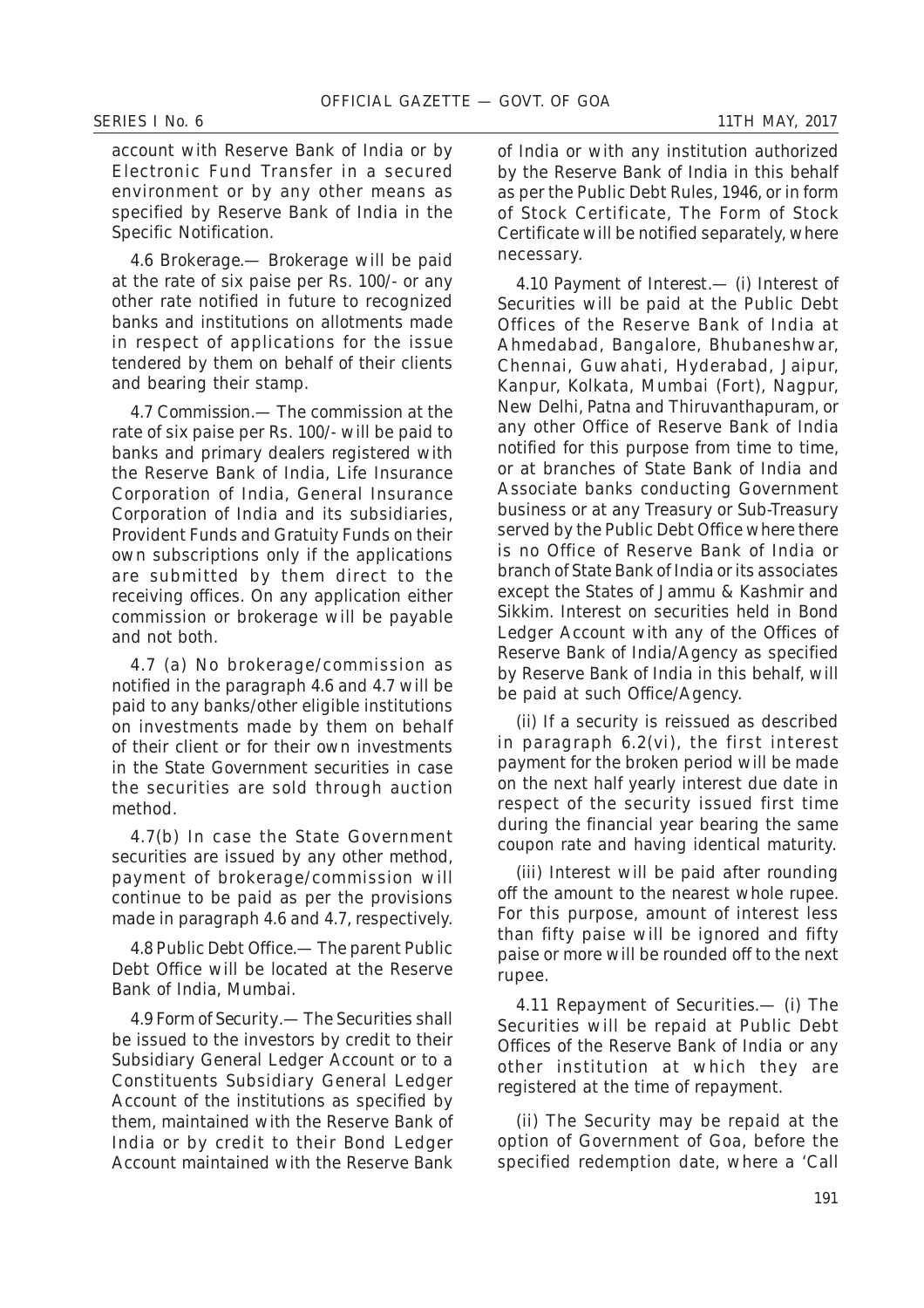account with Reserve Bank of India or by Electronic Fund Transfer in a secured environment or by any other means as specified by Reserve Bank of India in the Specific Notification.

4.6 *Brokerage*.— Brokerage will be paid at the rate of six paise per Rs. 100/- or any other rate notified in future to recognized banks and institutions on allotments made in respect of applications for the issue tendered by them on behalf of their clients and bearing their stamp.

4.7 *Commission*.— The commission at the rate of six paise per Rs. 100/- will be paid to banks and primary dealers registered with the Reserve Bank of India, Life Insurance Corporation of India, General Insurance Corporation of India and its subsidiaries, Provident Funds and Gratuity Funds on their own subscriptions only if the applications are submitted by them direct to the receiving offices. On any application either commission or brokerage will be payable and not both.

4.7 (*a*) No brokerage/commission as notified in the paragraph 4.6 and 4.7 will be paid to any banks/other eligible institutions on investments made by them on behalf of their client or for their own investments in the State Government securities in case the securities are sold through auction method.

4.7(*b*) In case the State Government securities are issued by any other method, payment of brokerage/commission will continue to be paid as per the provisions made in paragraph 4.6 and 4.7, respectively.

4.8 *Public Debt Office*.— The parent Public Debt Office will be located at the Reserve Bank of India, Mumbai.

4.9 *Form of Security*.— The Securities shall be issued to the investors by credit to their Subsidiary General Ledger Account or to a Constituents Subsidiary General Ledger Account of the institutions as specified by them, maintained with the Reserve Bank of India or by credit to their Bond Ledger Account maintained with the Reserve Bank

of India or with any institution authorized by the Reserve Bank of India in this behalf as per the Public Debt Rules, 1946, or in form of Stock Certificate, The Form of Stock Certificate will be notified separately, where necessary.

4.10 *Payment of Interest*.— (*i*) Interest of Securities will be paid at the Public Debt Offices of the Reserve Bank of India at Ahmedabad, Bangalore, Bhubaneshwar, Chennai, Guwahati, Hyderabad, Jaipur, Kanpur, Kolkata, Mumbai (Fort), Nagpur, New Delhi, Patna and Thiruvanthapuram, or any other Office of Reserve Bank of India notified for this purpose from time to time, or at branches of State Bank of India and Associate banks conducting Government business or at any Treasury or Sub-Treasury served by the Public Debt Office where there is no Office of Reserve Bank of India or branch of State Bank of India or its associates except the States of Jammu & Kashmir and Sikkim. Interest on securities held in Bond Ledger Account with any of the Offices of Reserve Bank of India/Agency as specified by Reserve Bank of India in this behalf, will be paid at such Office/Agency.

(*ii*) If a security is reissued as described in paragraph 6.2(*vi*), the first interest payment for the broken period will be made on the next half yearly interest due date in respect of the security issued first time during the financial year bearing the same coupon rate and having identical maturity.

(*iii*) Interest will be paid after rounding off the amount to the nearest whole rupee. For this purpose, amount of interest less than fifty paise will be ignored and fifty paise or more will be rounded off to the next rupee.

4.11 *Repayment of Securities*.— (*i*) The Securities will be repaid at Public Debt Offices of the Reserve Bank of India or any other institution at which they are registered at the time of repayment.

(*ii*) The Security may be repaid at the option of Government of Goa, before the specified redemption date, where a 'Call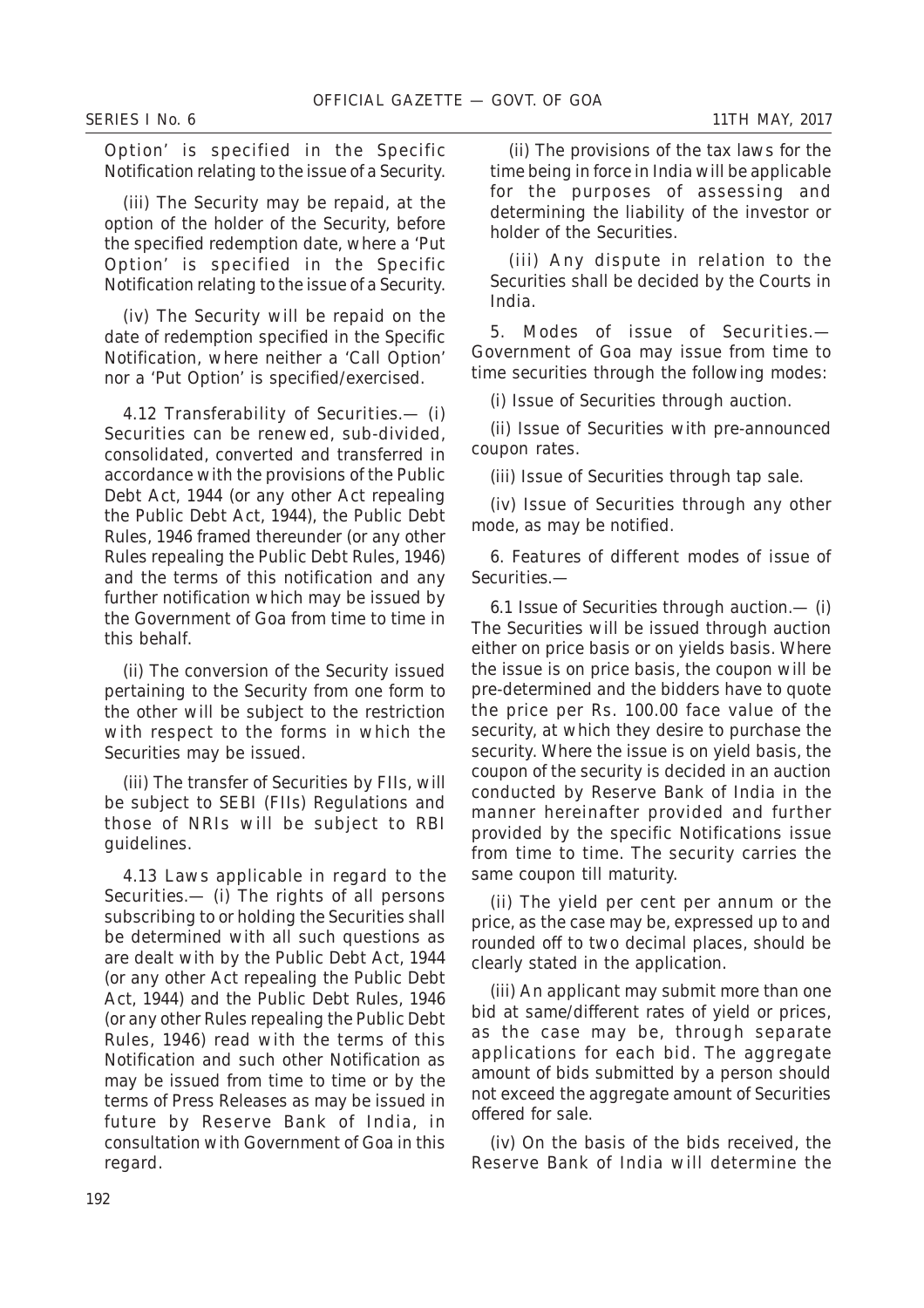Option' is specified in the Specific Notification relating to the issue of a Security.

(*iii*) The Security may be repaid, at the option of the holder of the Security, before the specified redemption date, where a 'Put Option' is specified in the Specific Notification relating to the issue of a Security.

(*iv*) The Security will be repaid on the date of redemption specified in the Specific Notification, where neither a 'Call Option' nor a 'Put Option' is specified/exercised.

4.12 *Transferability of Securities*.— (*i*) Securities can be renewed, sub-divided, consolidated, converted and transferred in accordance with the provisions of the Public Debt Act, 1944 (or any other Act repealing the Public Debt Act, 1944), the Public Debt Rules, 1946 framed thereunder (or any other Rules repealing the Public Debt Rules, 1946) and the terms of this notification and any further notification which may be issued by the Government of Goa from time to time in this behalf.

(*ii*) The conversion of the Security issued pertaining to the Security from one form to the other will be subject to the restriction with respect to the forms in which the Securities may be issued.

(*iii*) The transfer of Securities by FIIs, will be subject to SEBI (FIIs) Regulations and those of NRIs will be subject to RBI guidelines.

4.13 *Laws applicable in regard to the Securities*.— (*i*) The rights of all persons subscribing to or holding the Securities shall be determined with all such questions as are dealt with by the Public Debt Act, 1944 (or any other Act repealing the Public Debt Act, 1944) and the Public Debt Rules, 1946 (or any other Rules repealing the Public Debt Rules, 1946) read with the terms of this Notification and such other Notification as may be issued from time to time or by the terms of Press Releases as may be issued in future by Reserve Bank of India, in consultation with Government of Goa in this regard.

(*ii*) The provisions of the tax laws for the time being in force in India will be applicable for the purposes of assessing and determining the liability of the investor or holder of the Securities.

(*iii*) Any dispute in relation to the Securities shall be decided by the Courts in India.

5. *Modes of issue of Securities*.— Government of Goa may issue from time to time securities through the following modes:

(*i*) Issue of Securities through auction.

(*ii*) Issue of Securities with pre-announced coupon rates.

(*iii*) Issue of Securities through tap sale.

(*iv*) Issue of Securities through any other mode, as may be notified.

6. *Features of different modes of issue of Securities*.—

6.1 *Issue of Securities through auction*.— (*i*) The Securities will be issued through auction either on price basis or on yields basis. Where the issue is on price basis, the coupon will be pre-determined and the bidders have to quote the price per Rs. 100.00 face value of the security, at which they desire to purchase the security. Where the issue is on yield basis, the coupon of the security is decided in an auction conducted by Reserve Bank of India in the manner hereinafter provided and further provided by the specific Notifications issue from time to time. The security carries the same coupon till maturity.

(*ii*) The yield per cent per annum or the price, as the case may be, expressed up to and rounded off to two decimal places, should be clearly stated in the application.

(*iii*) An applicant may submit more than one bid at same/different rates of yield or prices, as the case may be, through separate applications for each bid. The aggregate amount of bids submitted by a person should not exceed the aggregate amount of Securities offered for sale.

(*iv*) On the basis of the bids received, the Reserve Bank of India will determine the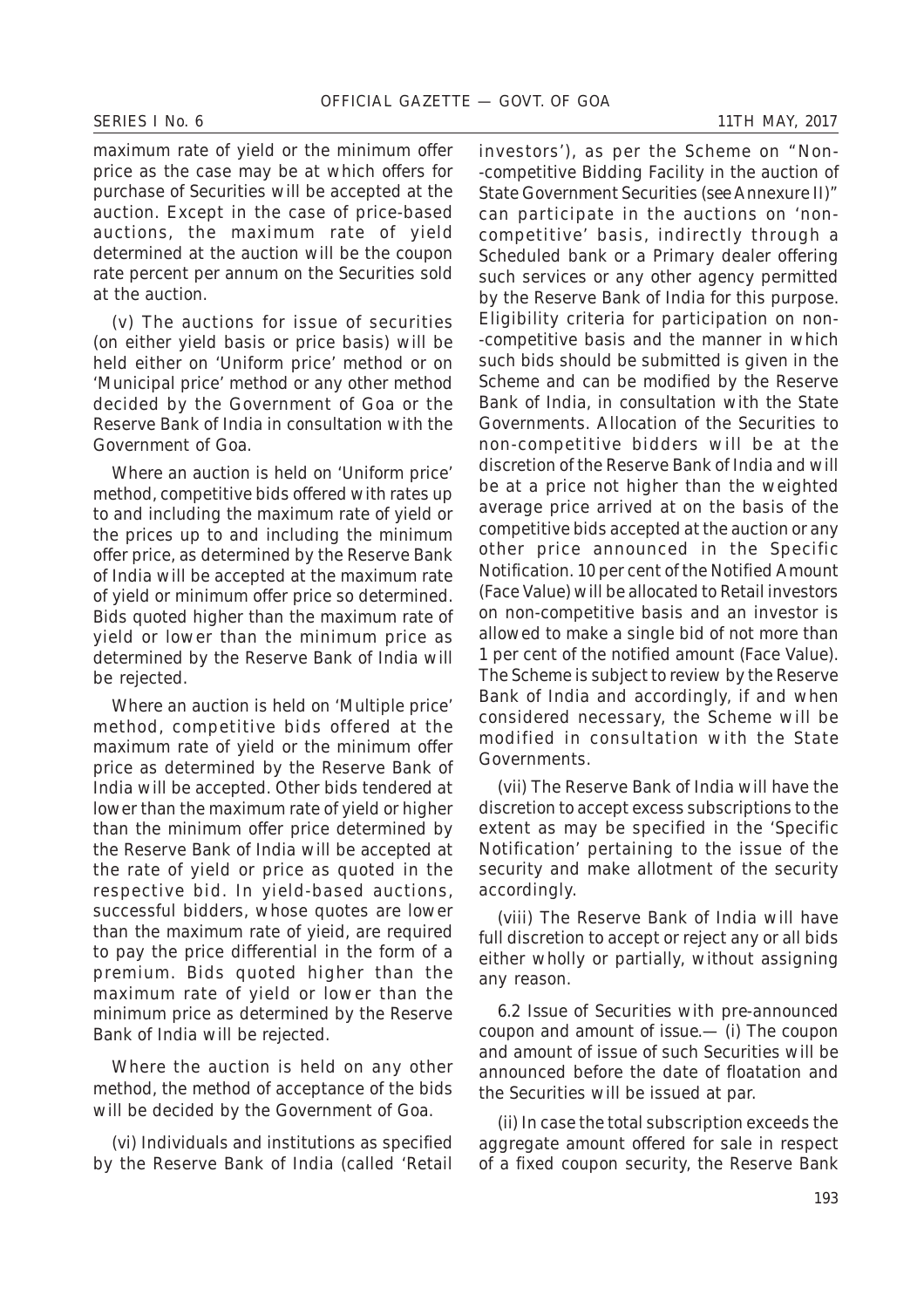maximum rate of yield or the minimum offer price as the case may be at which offers for purchase of Securities will be accepted at the auction. Except in the case of price-based auctions, the maximum rate of yield determined at the auction will be the coupon rate percent per annum on the Securities sold at the auction.

(*v*) The auctions for issue of securities (on either yield basis or price basis) will be held either on 'Uniform price' method or on 'Municipal price' method or any other method decided by the Government of Goa or the Reserve Bank of India in consultation with the Government of Goa.

Where an auction is held on 'Uniform price' method, competitive bids offered with rates up to and including the maximum rate of yield or the prices up to and including the minimum offer price, as determined by the Reserve Bank of India will be accepted at the maximum rate of yield or minimum offer price so determined. Bids quoted higher than the maximum rate of yield or lower than the minimum price as determined by the Reserve Bank of India will be rejected.

Where an auction is held on 'Multiple price' method, competitive bids offered at the maximum rate of yield or the minimum offer price as determined by the Reserve Bank of India will be accepted. Other bids tendered at lower than the maximum rate of yield or higher than the minimum offer price determined by the Reserve Bank of India will be accepted at the rate of yield or price as quoted in the respective bid. In yield-based auctions, successful bidders, whose quotes are lower than the maximum rate of yieid, are required to pay the price differential in the form of a premium. Bids quoted higher than the maximum rate of yield or lower than the minimum price as determined by the Reserve Bank of India will be rejected.

Where the auction is held on any other method, the method of acceptance of the bids will be decided by the Government of Goa.

(*vi*) Individuals and institutions as specified by the Reserve Bank of India (called 'Retail

investors'), as per the Scheme on "Non- -competitive Bidding Facility in the auction of State Government Securities (*see* Annexure II)" can participate in the auctions on 'noncompetitive' basis, indirectly through a Scheduled bank or a Primary dealer offering such services or any other agency permitted by the Reserve Bank of India for this purpose. Eligibility criteria for participation on non- -competitive basis and the manner in which such bids should be submitted is given in the Scheme and can be modified by the Reserve Bank of India, in consultation with the State Governments. Allocation of the Securities to non-competitive bidders will be at the discretion of the Reserve Bank of India and will be at a price not higher than the weighted average price arrived at on the basis of the competitive bids accepted at the auction or any other price announced in the Specific Notification. 10 per cent of the Notified Amount (Face Value) will be allocated to Retail investors on non-competitive basis and an investor is allowed to make a single bid of not more than 1 per cent of the notified amount (Face Value). The Scheme is subject to review by the Reserve Bank of India and accordingly, if and when considered necessary, the Scheme will be modified in consultation with the State Governments.

(*vii*) The Reserve Bank of India will have the discretion to accept excess subscriptions to the extent as may be specified in the 'Specific Notification' pertaining to the issue of the security and make allotment of the security accordingly.

(*viii*) The Reserve Bank of India will have full discretion to accept or reject any or all bids either wholly or partially, without assigning any reason.

6.2 *Issue of Securities with pre-announced coupon and amount of issue*.— (*i*) The coupon and amount of issue of such Securities will be announced before the date of floatation and the Securities will be issued at par.

(*ii*) In case the total subscription exceeds the aggregate amount offered for sale in respect of a fixed coupon security, the Reserve Bank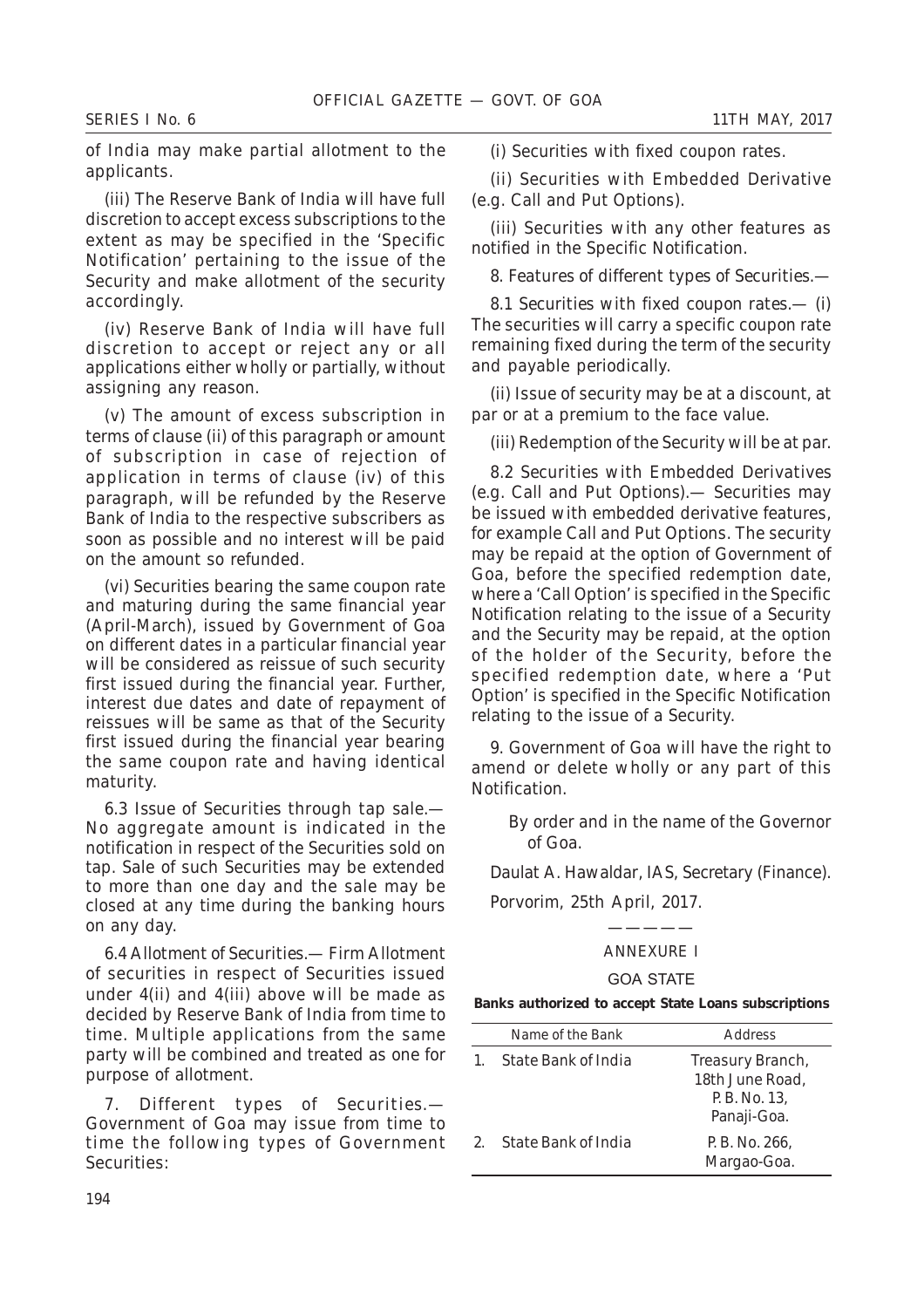of India may make partial allotment to the applicants.

(*iii*) The Reserve Bank of India will have full discretion to accept excess subscriptions to the extent as may be specified in the 'Specific Notification' pertaining to the issue of the Security and make allotment of the security accordingly.

(*iv*) Reserve Bank of India will have full discretion to accept or reject any or all applications either wholly or partially, without assigning any reason.

(*v*) The amount of excess subscription in terms of clause (*ii*) of this paragraph or amount of subscription in case of rejection of application in terms of clause (*iv*) of this paragraph, will be refunded by the Reserve Bank of India to the respective subscribers as soon as possible and no interest will be paid on the amount so refunded.

(*vi*) Securities bearing the same coupon rate and maturing during the same financial year (April-March), issued by Government of Goa on different dates in a particular financial year will be considered as reissue of such security first issued during the financial year. Further, interest due dates and date of repayment of reissues will be same as that of the Security first issued during the financial year bearing the same coupon rate and having identical maturity.

6.3 *Issue of Securities through tap sale*.— No aggregate amount is indicated in the notification in respect of the Securities sold on tap. Sale of such Securities may be extended to more than one day and the sale may be closed at any time during the banking hours on any day.

6.4 *Allotment of Securities*.— Firm Allotment of securities in respect of Securities issued under 4(*ii*) and 4(*iii*) above will be made as decided by Reserve Bank of India from time to time. Multiple applications from the same party will be combined and treated as one for purpose of allotment.

7. *Different types of Securities*.— Government of Goa may issue from time to time the following types of Government Securities:

(*i*) Securities with fixed coupon rates.

(*ii*) Securities with Embedded Derivative (e.g. Call and Put Options).

(*iii*) Securities with any other features as notified in the Specific Notification.

*8. Features of different types of Securities*.—

8.1 *Securities with fixed coupon rates*.— (*i*) The securities will carry a specific coupon rate remaining fixed during the term of the security and payable periodically.

(*ii*) Issue of security may be at a discount, at par or at a premium to the face value.

(*iii*) Redemption of the Security will be at par.

8.2 *Securities with Embedded Derivatives (e.g. Call and Put Options).—* Securities may be issued with embedded derivative features, for example Call and Put Options. The security may be repaid at the option of Government of Goa, before the specified redemption date, where a 'Call Option' is specified in the Specific Notification relating to the issue of a Security and the Security may be repaid, at the option of the holder of the Security, before the specified redemption date, where a 'Put Option' is specified in the Specific Notification relating to the issue of a Security.

9. Government of Goa will have the right to amend or delete wholly or any part of this Notification.

By order and in the name of the Governor of Goa.

*Daulat A. Hawaldar*, IAS, Secretary (Finance).

Porvorim, 25th April, 2017.

# ————— ANNEXURE I

#### GOA STATE

**Banks authorized to accept State Loans subscriptions**

| Name of the Bank    | Address                                                            |
|---------------------|--------------------------------------------------------------------|
| State Bank of India | Treasury Branch,<br>18th June Road,<br>P.B. No. 13,<br>Panaji-Goa. |
| State Bank of India | P.B. No. 266,<br>Margao-Goa.                                       |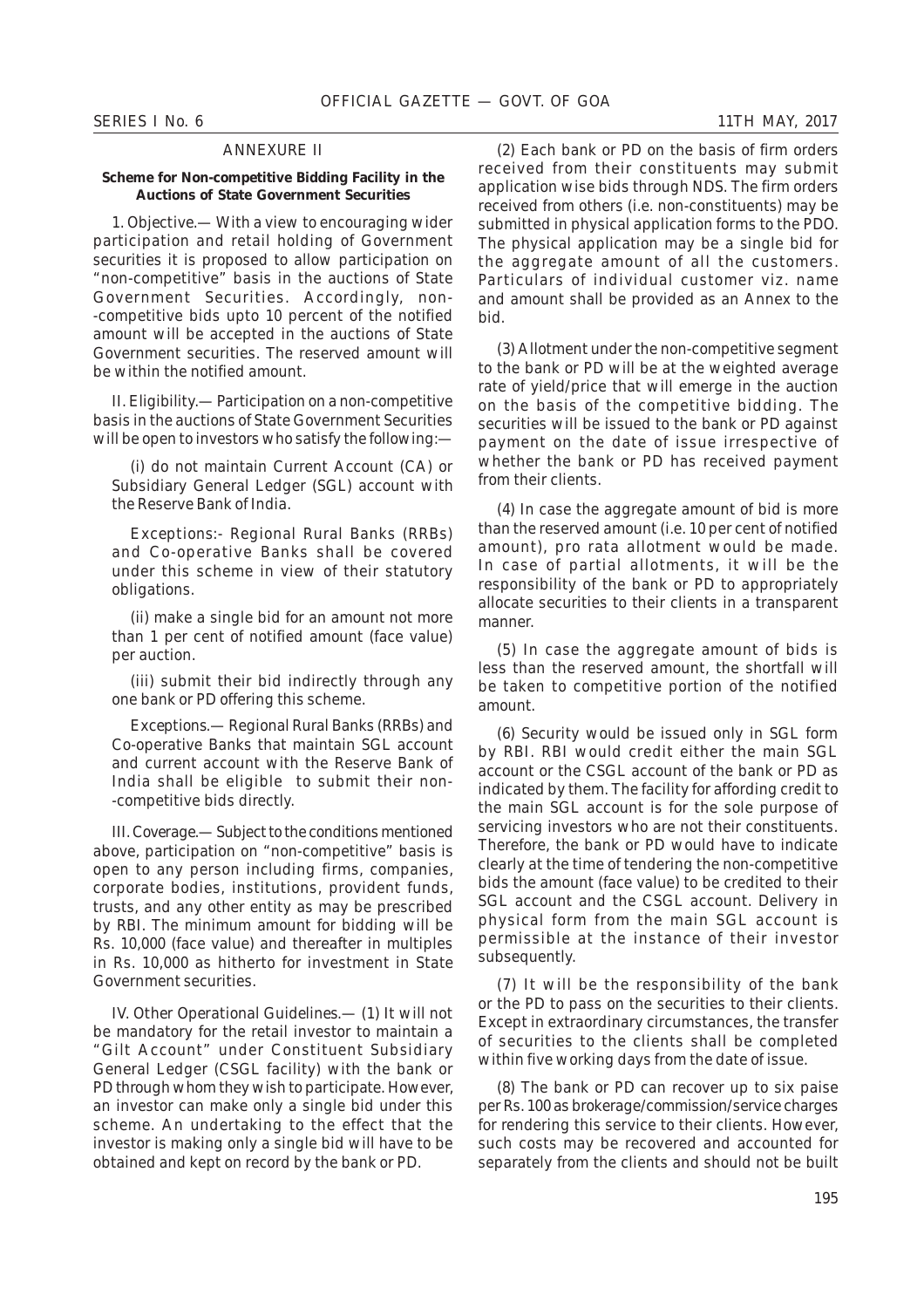#### ANNEXURE II

#### **Scheme for Non-competitive Bidding Facility in the Auctions of State Government Securities**

1. *Objective.—* With a view to encouraging wider participation and retail holding of Government securities it is proposed to allow participation on "non-competitive" basis in the auctions of State Government Securities. Accordingly, non- -competitive bids upto 10 percent of the notified amount will be accepted in the auctions of State Government securities. The reserved amount will be within the notified amount.

II. *Eligibility.—* Participation on a non-competitive basis in the auctions of State Government Securities will be open to investors who satisfy the following:—

(*i*) do not maintain Current Account (CA) or Subsidiary General Ledger (SGL) account with the Reserve Bank of India.

*Exceptions*:- Regional Rural Banks (RRBs) and Co-operative Banks shall be covered under this scheme in view of their statutory obligations.

(*ii*) make a single bid for an amount not more than 1 per cent of notified amount (face value) per auction.

(*iii*) submit their bid indirectly through any one bank or PD offering this scheme.

*Exceptions*.— Regional Rural Banks (RRBs) and Co-operative Banks that maintain SGL account and current account with the Reserve Bank of India shall be eligible to submit their non- -competitive bids directly.

III. *Coverage*.— Subject to the conditions mentioned above, participation on "non-competitive" basis is open to any person including firms, companies, corporate bodies, institutions, provident funds, trusts, and any other entity as may be prescribed by RBI. The minimum amount for bidding will be Rs. 10,000 (face value) and thereafter in multiples in Rs. 10,000 as hitherto for investment in State Government securities.

IV. *Other Operational Guidelines*.— (*1*) It will not be mandatory for the retail investor to maintain a "Gilt Account" under Constituent Subsidiary General Ledger (CSGL facility) with the bank or PD through whom they wish to participate. However, an investor can make only a single bid under this scheme. An undertaking to the effect that the investor is making only a single bid will have to be obtained and kept on record by the bank or PD.

(*2*) Each bank or PD on the basis of firm orders received from their constituents may submit application wise bids through NDS. The firm orders received from others (i.e. non-constituents) may be submitted in physical application forms to the PDO. The physical application may be a single bid for the aggregate amount of all the customers. Particulars of individual customer viz. name and amount shall be provided as an Annex to the bid.

(*3*) Allotment under the non-competitive segment to the bank or PD will be at the weighted average rate of yield/price that will emerge in the auction on the basis of the competitive bidding. The securities will be issued to the bank or PD against payment on the date of issue irrespective of whether the bank or PD has received payment from their clients.

(*4*) In case the aggregate amount of bid is more than the reserved amount (i.e. 10 per cent of notified amount), pro rata allotment would be made. In case of partial allotments, it will be the responsibility of the bank or PD to appropriately allocate securities to their clients in a transparent manner.

(*5*) In case the aggregate amount of bids is less than the reserved amount, the shortfall will be taken to competitive portion of the notified amount.

(*6*) Security would be issued only in SGL form by RBI. RBI would credit either the main SGL account or the CSGL account of the bank or PD as indicated by them. The facility for affording credit to the main SGL account is for the sole purpose of servicing investors who are not their constituents. Therefore, the bank or PD would have to indicate clearly at the time of tendering the non-competitive bids the amount (face value) to be credited to their SGL account and the CSGL account. Delivery in physical form from the main SGL account is permissible at the instance of their investor subsequently.

(*7*) It will be the responsibility of the bank or the PD to pass on the securities to their clients. Except in extraordinary circumstances, the transfer of securities to the clients shall be completed within five working days from the date of issue.

(*8*) The bank or PD can recover up to six paise per Rs. 100 as brokerage/commission/service charges for rendering this service to their clients. However, such costs may be recovered and accounted for separately from the clients and should not be built